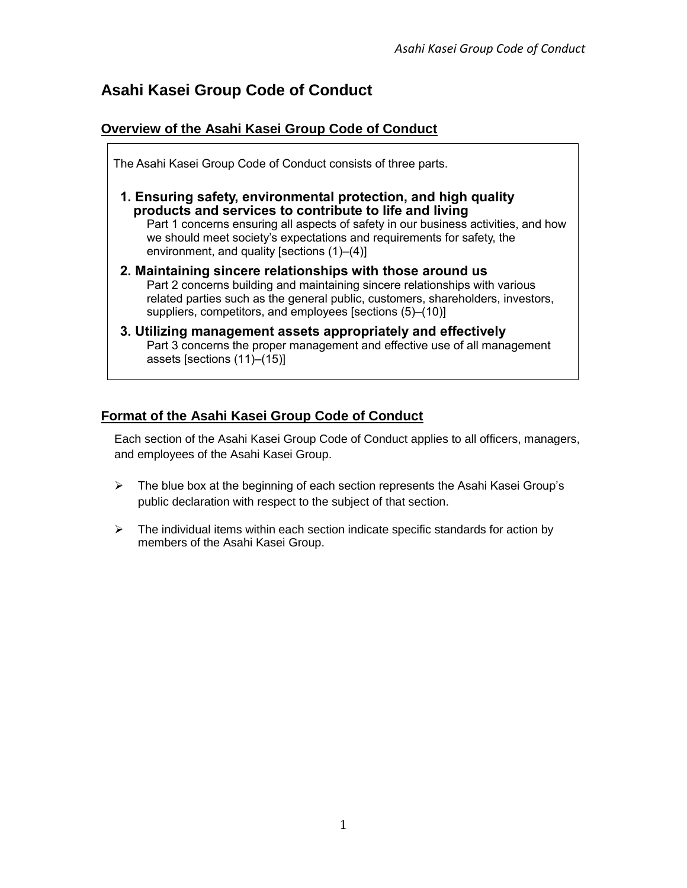# **Asahi Kasei Group Code of Conduct**

# **Overview of the Asahi Kasei Group Code of Conduct**

| The Asahi Kasei Group Code of Conduct consists of three parts.                                                                                                                                                                                                                                                                          |
|-----------------------------------------------------------------------------------------------------------------------------------------------------------------------------------------------------------------------------------------------------------------------------------------------------------------------------------------|
| 1. Ensuring safety, environmental protection, and high quality<br>products and services to contribute to life and living<br>Part 1 concerns ensuring all aspects of safety in our business activities, and how<br>we should meet society's expectations and requirements for safety, the<br>environment, and quality [sections (1)–(4)] |
| 2. Maintaining sincere relationships with those around us<br>Part 2 concerns building and maintaining sincere relationships with various<br>related parties such as the general public, customers, shareholders, investors,<br>suppliers, competitors, and employees [sections (5)–(10)]                                                |
| 3. Utilizing management assets appropriately and effectively<br>Part 3 concerns the proper management and effective use of all management<br>assets [sections (11)-(15)]                                                                                                                                                                |
|                                                                                                                                                                                                                                                                                                                                         |

# **Format of the Asahi Kasei Group Code of Conduct**

Each section of the Asahi Kasei Group Code of Conduct applies to all officers, managers, and employees of the Asahi Kasei Group.

- ➢ The blue box at the beginning of each section represents the Asahi Kasei Group's public declaration with respect to the subject of that section.
- $\triangleright$  The individual items within each section indicate specific standards for action by members of the Asahi Kasei Group.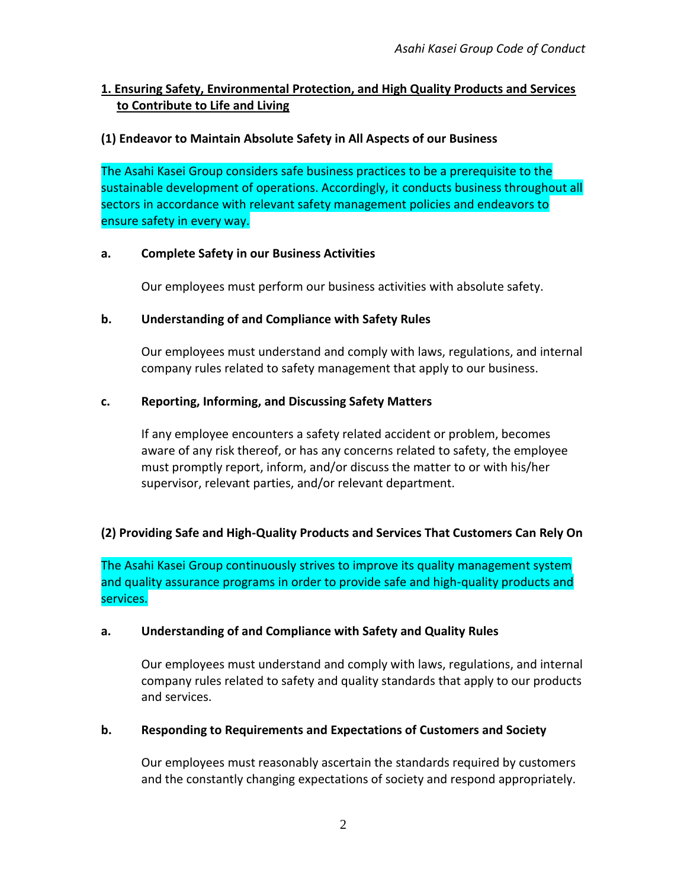# **1. Ensuring Safety, Environmental Protection, and High Quality Products and Services to Contribute to Life and Living**

# **(1) Endeavor to Maintain Absolute Safety in All Aspects of our Business**

The Asahi Kasei Group considers safe business practices to be a prerequisite to the sustainable development of operations. Accordingly, it conducts business throughout all sectors in accordance with relevant safety management policies and endeavors to ensure safety in every way.

#### **a. Complete Safety in our Business Activities**

Our employees must perform our business activities with absolute safety.

#### **b. Understanding of and Compliance with Safety Rules**

Our employees must understand and comply with laws, regulations, and internal company rules related to safety management that apply to our business.

#### **c. Reporting, Informing, and Discussing Safety Matters**

If any employee encounters a safety related accident or problem, becomes aware of any risk thereof, or has any concerns related to safety, the employee must promptly report, inform, and/or discuss the matter to or with his/her supervisor, relevant parties, and/or relevant department.

#### **(2) Providing Safe and High-Quality Products and Services That Customers Can Rely On**

The Asahi Kasei Group continuously strives to improve its quality management system and quality assurance programs in order to provide safe and high-quality products and services.

#### **a. Understanding of and Compliance with Safety and Quality Rules**

Our employees must understand and comply with laws, regulations, and internal company rules related to safety and quality standards that apply to our products and services.

#### **b. Responding to Requirements and Expectations of Customers and Society**

Our employees must reasonably ascertain the standards required by customers and the constantly changing expectations of society and respond appropriately.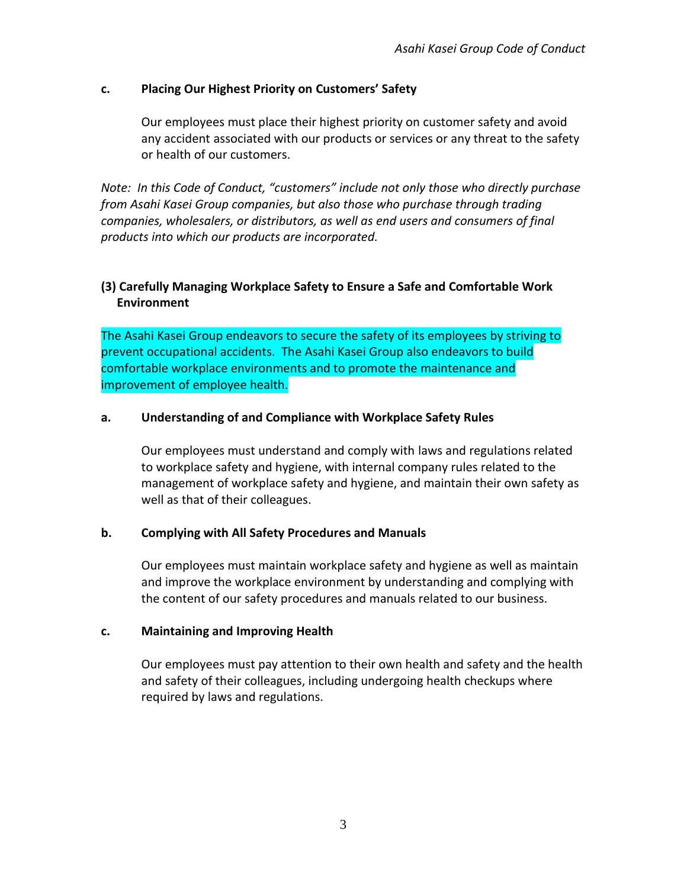### **c. Placing Our Highest Priority on Customers' Safety**

Our employees must place their highest priority on customer safety and avoid any accident associated with our products or services or any threat to the safety or health of our customers.

*Note: In this Code of Conduct, "customers" include not only those who directly purchase from Asahi Kasei Group companies, but also those who purchase through trading companies, wholesalers, or distributors, as well as end users and consumers of final products into which our products are incorporated.* 

# **(3) Carefully Managing Workplace Safety to Ensure a Safe and Comfortable Work Environment**

The Asahi Kasei Group endeavors to secure the safety of its employees by striving to prevent occupational accidents. The Asahi Kasei Group also endeavors to build comfortable workplace environments and to promote the maintenance and improvement of employee health.

#### **a. Understanding of and Compliance with Workplace Safety Rules**

Our employees must understand and comply with laws and regulations related to workplace safety and hygiene, with internal company rules related to the management of workplace safety and hygiene, and maintain their own safety as well as that of their colleagues.

#### **b. Complying with All Safety Procedures and Manuals**

Our employees must maintain workplace safety and hygiene as well as maintain and improve the workplace environment by understanding and complying with the content of our safety procedures and manuals related to our business.

#### **c. Maintaining and Improving Health**

Our employees must pay attention to their own health and safety and the health and safety of their colleagues, including undergoing health checkups where required by laws and regulations.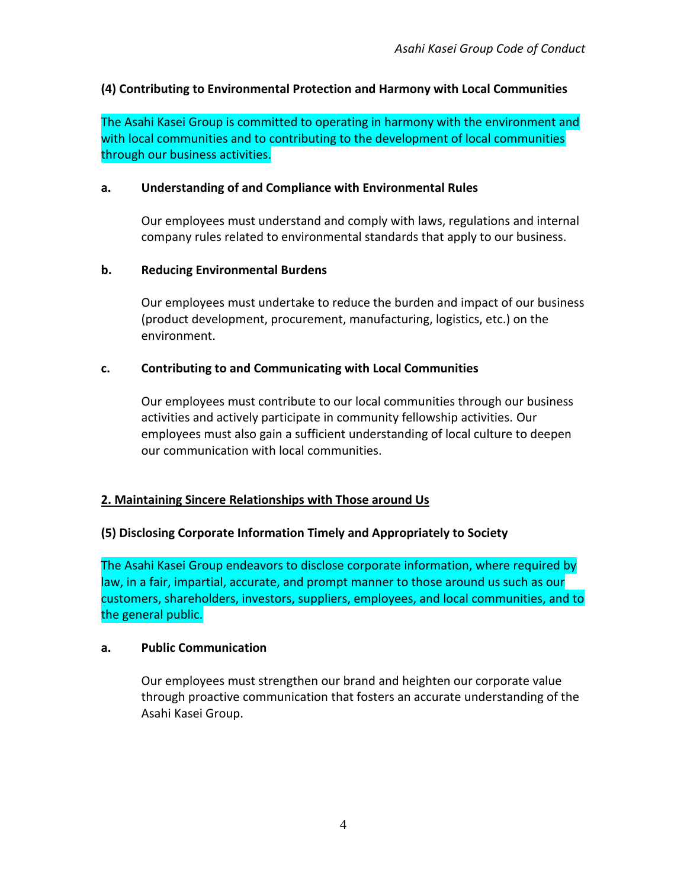# **(4) Contributing to Environmental Protection and Harmony with Local Communities**

The Asahi Kasei Group is committed to operating in harmony with the environment and with local communities and to contributing to the development of local communities through our business activities.

### **a. Understanding of and Compliance with Environmental Rules**

Our employees must understand and comply with laws, regulations and internal company rules related to environmental standards that apply to our business.

### **b. Reducing Environmental Burdens**

Our employees must undertake to reduce the burden and impact of our business (product development, procurement, manufacturing, logistics, etc.) on the environment.

### **c. Contributing to and Communicating with Local Communities**

Our employees must contribute to our local communities through our business activities and actively participate in community fellowship activities. Our employees must also gain a sufficient understanding of local culture to deepen our communication with local communities.

# **2. Maintaining Sincere Relationships with Those around Us**

# **(5) Disclosing Corporate Information Timely and Appropriately to Society**

The Asahi Kasei Group endeavors to disclose corporate information, where required by law, in a fair, impartial, accurate, and prompt manner to those around us such as our customers, shareholders, investors, suppliers, employees, and local communities, and to the general public.

#### **a. Public Communication**

Our employees must strengthen our brand and heighten our corporate value through proactive communication that fosters an accurate understanding of the Asahi Kasei Group.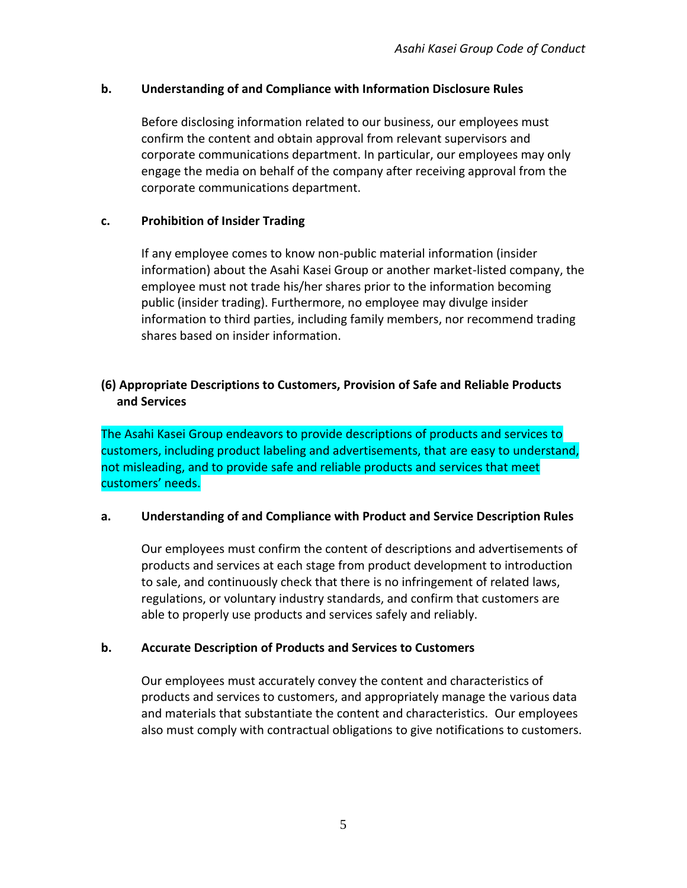### **b. Understanding of and Compliance with Information Disclosure Rules**

Before disclosing information related to our business, our employees must confirm the content and obtain approval from relevant supervisors and corporate communications department. In particular, our employees may only engage the media on behalf of the company after receiving approval from the corporate communications department.

### **c. Prohibition of Insider Trading**

If any employee comes to know non-public material information (insider information) about the Asahi Kasei Group or another market-listed company, the employee must not trade his/her shares prior to the information becoming public (insider trading). Furthermore, no employee may divulge insider information to third parties, including family members, nor recommend trading shares based on insider information.

# **(6) Appropriate Descriptions to Customers, Provision of Safe and Reliable Products and Services**

The Asahi Kasei Group endeavors to provide descriptions of products and services to customers, including product labeling and advertisements, that are easy to understand, not misleading, and to provide safe and reliable products and services that meet customers' needs.

#### **a. Understanding of and Compliance with Product and Service Description Rules**

Our employees must confirm the content of descriptions and advertisements of products and services at each stage from product development to introduction to sale, and continuously check that there is no infringement of related laws, regulations, or voluntary industry standards, and confirm that customers are able to properly use products and services safely and reliably.

# **b. Accurate Description of Products and Services to Customers**

Our employees must accurately convey the content and characteristics of products and services to customers, and appropriately manage the various data and materials that substantiate the content and characteristics. Our employees also must comply with contractual obligations to give notifications to customers.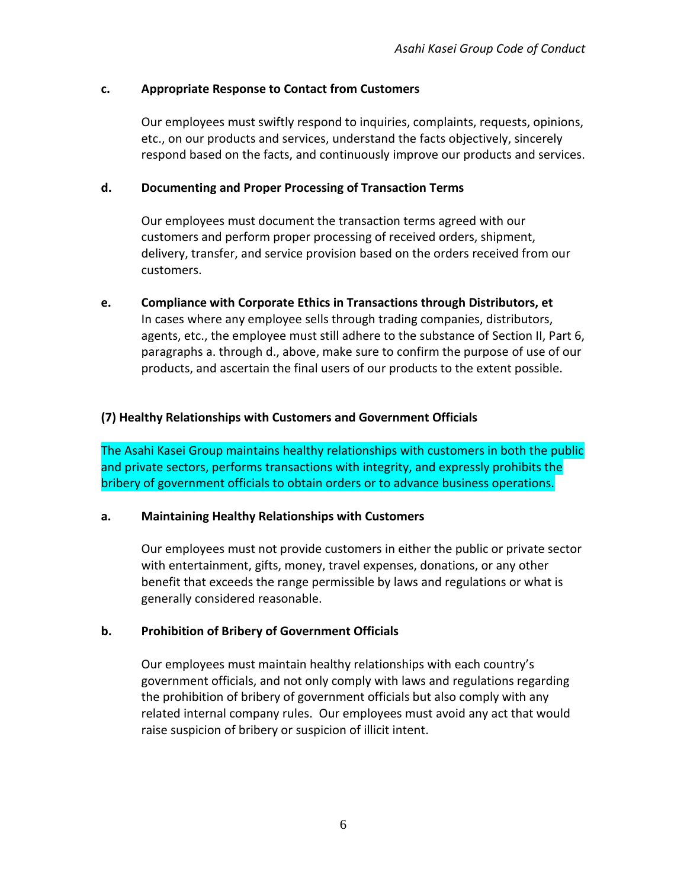### **c. Appropriate Response to Contact from Customers**

Our employees must swiftly respond to inquiries, complaints, requests, opinions, etc., on our products and services, understand the facts objectively, sincerely respond based on the facts, and continuously improve our products and services.

#### **d. Documenting and Proper Processing of Transaction Terms**

Our employees must document the transaction terms agreed with our customers and perform proper processing of received orders, shipment, delivery, transfer, and service provision based on the orders received from our customers.

**e. Compliance with Corporate Ethics in Transactions through Distributors, et** In cases where any employee sells through trading companies, distributors, agents, etc., the employee must still adhere to the substance of Section II, Part 6, paragraphs a. through d., above, make sure to confirm the purpose of use of our products, and ascertain the final users of our products to the extent possible.

### **(7) Healthy Relationships with Customers and Government Officials**

The Asahi Kasei Group maintains healthy relationships with customers in both the public and private sectors, performs transactions with integrity, and expressly prohibits the bribery of government officials to obtain orders or to advance business operations.

#### **a. Maintaining Healthy Relationships with Customers**

Our employees must not provide customers in either the public or private sector with entertainment, gifts, money, travel expenses, donations, or any other benefit that exceeds the range permissible by laws and regulations or what is generally considered reasonable.

#### **b. Prohibition of Bribery of Government Officials**

Our employees must maintain healthy relationships with each country's government officials, and not only comply with laws and regulations regarding the prohibition of bribery of government officials but also comply with any related internal company rules. Our employees must avoid any act that would raise suspicion of bribery or suspicion of illicit intent.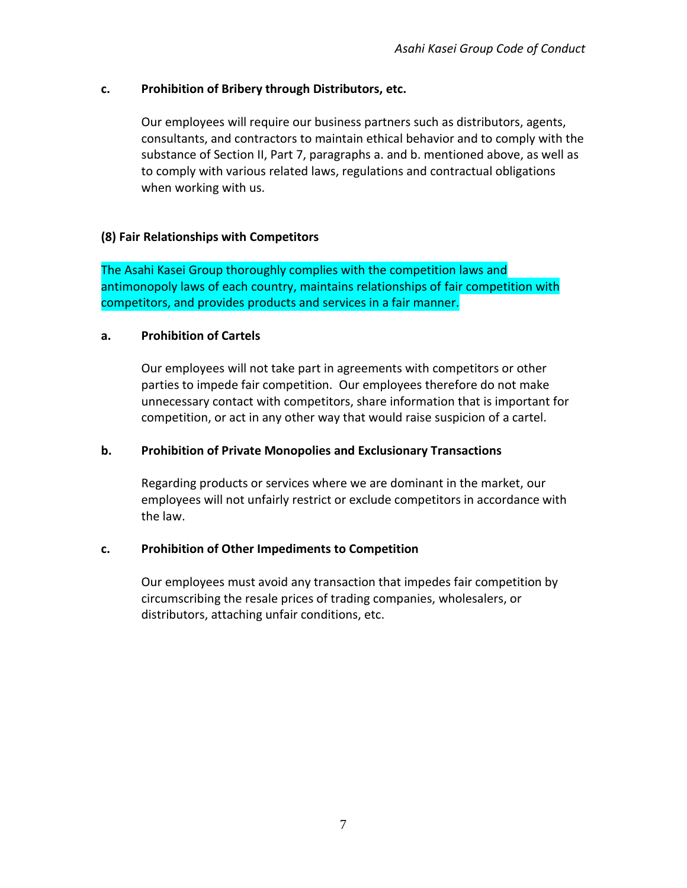### **c. Prohibition of Bribery through Distributors, etc.**

Our employees will require our business partners such as distributors, agents, consultants, and contractors to maintain ethical behavior and to comply with the substance of Section II, Part 7, paragraphs a. and b. mentioned above, as well as to comply with various related laws, regulations and contractual obligations when working with us.

### **(8) Fair Relationships with Competitors**

The Asahi Kasei Group thoroughly complies with the competition laws and antimonopoly laws of each country, maintains relationships of fair competition with competitors, and provides products and services in a fair manner.

#### **a. Prohibition of Cartels**

Our employees will not take part in agreements with competitors or other parties to impede fair competition. Our employees therefore do not make unnecessary contact with competitors, share information that is important for competition, or act in any other way that would raise suspicion of a cartel.

#### **b. Prohibition of Private Monopolies and Exclusionary Transactions**

Regarding products or services where we are dominant in the market, our employees will not unfairly restrict or exclude competitors in accordance with the law.

# **c. Prohibition of Other Impediments to Competition**

Our employees must avoid any transaction that impedes fair competition by circumscribing the resale prices of trading companies, wholesalers, or distributors, attaching unfair conditions, etc.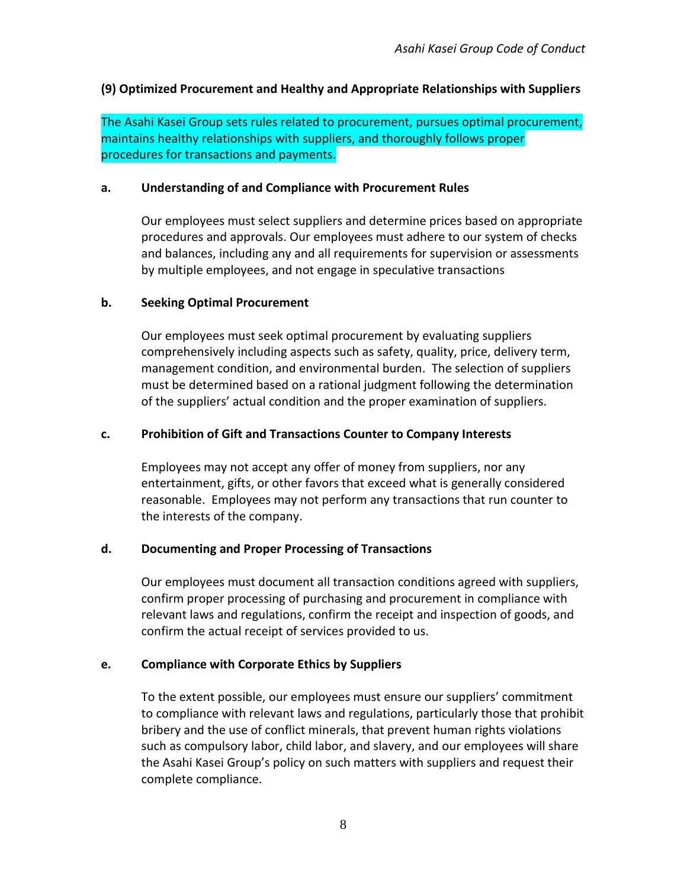# **(9) Optimized Procurement and Healthy and Appropriate Relationships with Suppliers**

The Asahi Kasei Group sets rules related to procurement, pursues optimal procurement, maintains healthy relationships with suppliers, and thoroughly follows proper procedures for transactions and payments.

#### **a. Understanding of and Compliance with Procurement Rules**

Our employees must select suppliers and determine prices based on appropriate procedures and approvals. Our employees must adhere to our system of checks and balances, including any and all requirements for supervision or assessments by multiple employees, and not engage in speculative transactions

#### **b. Seeking Optimal Procurement**

Our employees must seek optimal procurement by evaluating suppliers comprehensively including aspects such as safety, quality, price, delivery term, management condition, and environmental burden. The selection of suppliers must be determined based on a rational judgment following the determination of the suppliers' actual condition and the proper examination of suppliers.

#### **c. Prohibition of Gift and Transactions Counter to Company Interests**

Employees may not accept any offer of money from suppliers, nor any entertainment, gifts, or other favors that exceed what is generally considered reasonable. Employees may not perform any transactions that run counter to the interests of the company.

#### **d. Documenting and Proper Processing of Transactions**

Our employees must document all transaction conditions agreed with suppliers, confirm proper processing of purchasing and procurement in compliance with relevant laws and regulations, confirm the receipt and inspection of goods, and confirm the actual receipt of services provided to us.

#### **e. Compliance with Corporate Ethics by Suppliers**

To the extent possible, our employees must ensure our suppliers' commitment to compliance with relevant laws and regulations, particularly those that prohibit bribery and the use of conflict minerals, that prevent human rights violations such as compulsory labor, child labor, and slavery, and our employees will share the Asahi Kasei Group's policy on such matters with suppliers and request their complete compliance.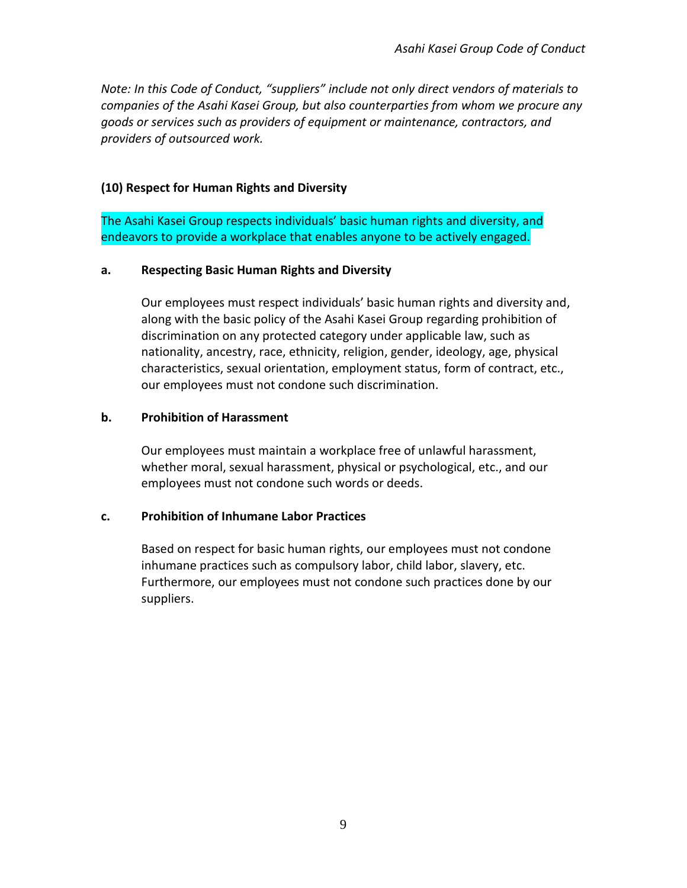*Note: In this Code of Conduct, "suppliers" include not only direct vendors of materials to companies of the Asahi Kasei Group, but also counterparties from whom we procure any goods or services such as providers of equipment or maintenance, contractors, and providers of outsourced work.*

### **(10) Respect for Human Rights and Diversity**

The Asahi Kasei Group respects individuals' basic human rights and diversity, and endeavors to provide a workplace that enables anyone to be actively engaged.

#### **a. Respecting Basic Human Rights and Diversity**

Our employees must respect individuals' basic human rights and diversity and, along with the basic policy of the Asahi Kasei Group regarding prohibition of discrimination on any protected category under applicable law, such as nationality, ancestry, race, ethnicity, religion, gender, ideology, age, physical characteristics, sexual orientation, employment status, form of contract, etc., our employees must not condone such discrimination.

### **b. Prohibition of Harassment**

Our employees must maintain a workplace free of unlawful harassment, whether moral, sexual harassment, physical or psychological, etc., and our employees must not condone such words or deeds.

#### **c. Prohibition of Inhumane Labor Practices**

Based on respect for basic human rights, our employees must not condone inhumane practices such as compulsory labor, child labor, slavery, etc. Furthermore, our employees must not condone such practices done by our suppliers.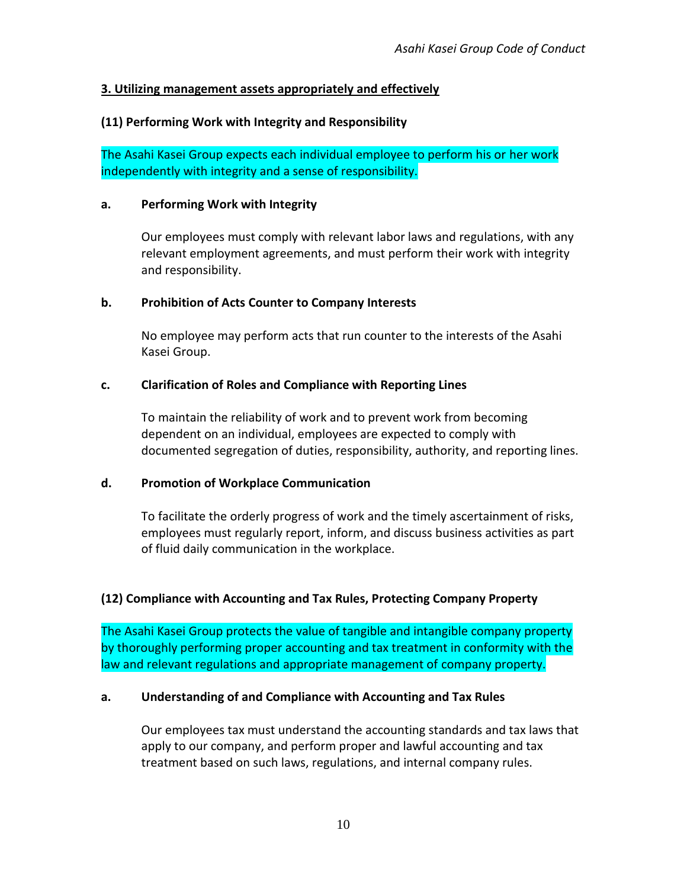# **3. Utilizing management assets appropriately and effectively**

### **(11) Performing Work with Integrity and Responsibility**

The Asahi Kasei Group expects each individual employee to perform his or her work independently with integrity and a sense of responsibility.

#### **a. Performing Work with Integrity**

Our employees must comply with relevant labor laws and regulations, with any relevant employment agreements, and must perform their work with integrity and responsibility.

#### **b. Prohibition of Acts Counter to Company Interests**

No employee may perform acts that run counter to the interests of the Asahi Kasei Group.

#### **c. Clarification of Roles and Compliance with Reporting Lines**

To maintain the reliability of work and to prevent work from becoming dependent on an individual, employees are expected to comply with documented segregation of duties, responsibility, authority, and reporting lines.

#### **d. Promotion of Workplace Communication**

To facilitate the orderly progress of work and the timely ascertainment of risks, employees must regularly report, inform, and discuss business activities as part of fluid daily communication in the workplace.

# **(12) Compliance with Accounting and Tax Rules, Protecting Company Property**

The Asahi Kasei Group protects the value of tangible and intangible company property by thoroughly performing proper accounting and tax treatment in conformity with the law and relevant regulations and appropriate management of company property.

#### **a. Understanding of and Compliance with Accounting and Tax Rules**

Our employees tax must understand the accounting standards and tax laws that apply to our company, and perform proper and lawful accounting and tax treatment based on such laws, regulations, and internal company rules.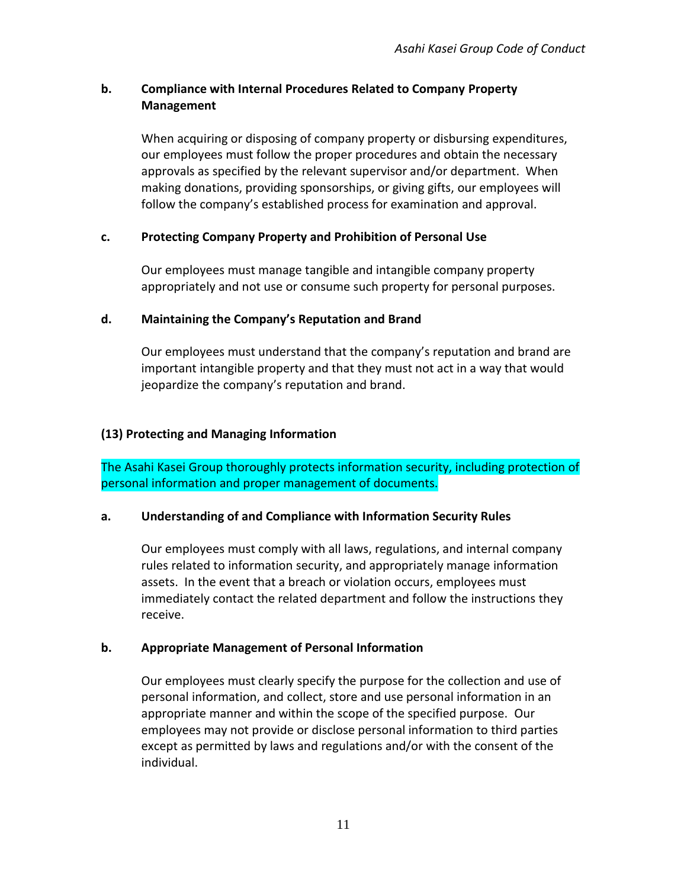# **b. Compliance with Internal Procedures Related to Company Property Management**

When acquiring or disposing of company property or disbursing expenditures, our employees must follow the proper procedures and obtain the necessary approvals as specified by the relevant supervisor and/or department. When making donations, providing sponsorships, or giving gifts, our employees will follow the company's established process for examination and approval.

# **c. Protecting Company Property and Prohibition of Personal Use**

Our employees must manage tangible and intangible company property appropriately and not use or consume such property for personal purposes.

### **d. Maintaining the Company's Reputation and Brand**

Our employees must understand that the company's reputation and brand are important intangible property and that they must not act in a way that would jeopardize the company's reputation and brand.

### **(13) Protecting and Managing Information**

The Asahi Kasei Group thoroughly protects information security, including protection of personal information and proper management of documents.

#### **a. Understanding of and Compliance with Information Security Rules**

Our employees must comply with all laws, regulations, and internal company rules related to information security, and appropriately manage information assets. In the event that a breach or violation occurs, employees must immediately contact the related department and follow the instructions they receive.

# **b. Appropriate Management of Personal Information**

Our employees must clearly specify the purpose for the collection and use of personal information, and collect, store and use personal information in an appropriate manner and within the scope of the specified purpose. Our employees may not provide or disclose personal information to third parties except as permitted by laws and regulations and/or with the consent of the individual.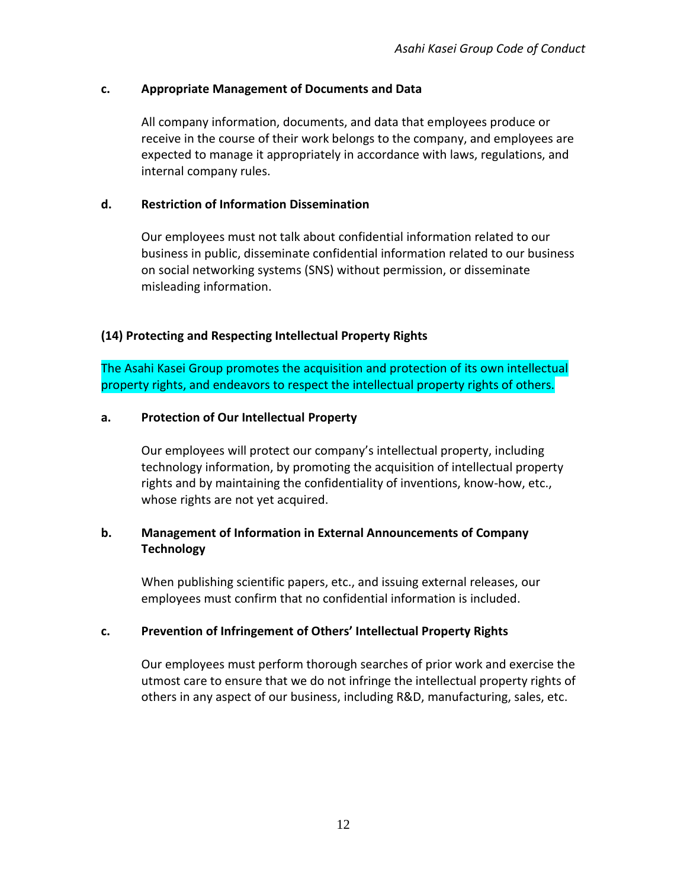#### **c. Appropriate Management of Documents and Data**

All company information, documents, and data that employees produce or receive in the course of their work belongs to the company, and employees are expected to manage it appropriately in accordance with laws, regulations, and internal company rules.

### **d. Restriction of Information Dissemination**

Our employees must not talk about confidential information related to our business in public, disseminate confidential information related to our business on social networking systems (SNS) without permission, or disseminate misleading information.

# **(14) Protecting and Respecting Intellectual Property Rights**

The Asahi Kasei Group promotes the acquisition and protection of its own intellectual property rights, and endeavors to respect the intellectual property rights of others.

#### **a. Protection of Our Intellectual Property**

Our employees will protect our company's intellectual property, including technology information, by promoting the acquisition of intellectual property rights and by maintaining the confidentiality of inventions, know-how, etc., whose rights are not yet acquired.

# **b. Management of Information in External Announcements of Company Technology**

When publishing scientific papers, etc., and issuing external releases, our employees must confirm that no confidential information is included.

# **c. Prevention of Infringement of Others' Intellectual Property Rights**

Our employees must perform thorough searches of prior work and exercise the utmost care to ensure that we do not infringe the intellectual property rights of others in any aspect of our business, including R&D, manufacturing, sales, etc.